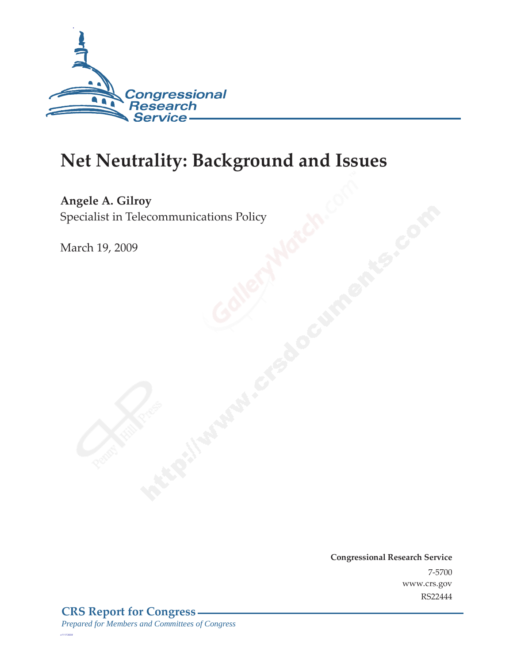

# **Net Neutrality: Background and Issues**

#### **Angele A. Gilroy**

Specialist in Telecommunications Policy

March 19, 2009

**Congressional Research Service** 7-5700 www.crs.gov RS22444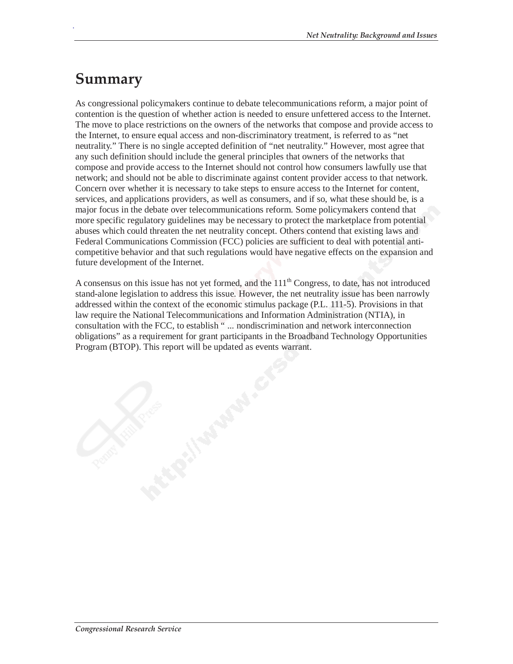## **Summary**

.

As congressional policymakers continue to debate telecommunications reform, a major point of contention is the question of whether action is needed to ensure unfettered access to the Internet. The move to place restrictions on the owners of the networks that compose and provide access to the Internet, to ensure equal access and non-discriminatory treatment, is referred to as "net neutrality." There is no single accepted definition of "net neutrality." However, most agree that any such definition should include the general principles that owners of the networks that compose and provide access to the Internet should not control how consumers lawfully use that network; and should not be able to discriminate against content provider access to that network. Concern over whether it is necessary to take steps to ensure access to the Internet for content, services, and applications providers, as well as consumers, and if so, what these should be, is a major focus in the debate over telecommunications reform. Some policymakers contend that more specific regulatory guidelines may be necessary to protect the marketplace from potential abuses which could threaten the net neutrality concept. Others contend that existing laws and Federal Communications Commission (FCC) policies are sufficient to deal with potential anticompetitive behavior and that such regulations would have negative effects on the expansion and future development of the Internet.

A consensus on this issue has not yet formed, and the  $111<sup>th</sup>$  Congress, to date, has not introduced stand-alone legislation to address this issue. However, the net neutrality issue has been narrowly addressed within the context of the economic stimulus package (P.L. 111-5). Provisions in that law require the National Telecommunications and Information Administration (NTIA), in consultation with the FCC, to establish " ... nondiscrimination and network interconnection obligations" as a requirement for grant participants in the Broadband Technology Opportunities Program (BTOP). This report will be updated as events warrant.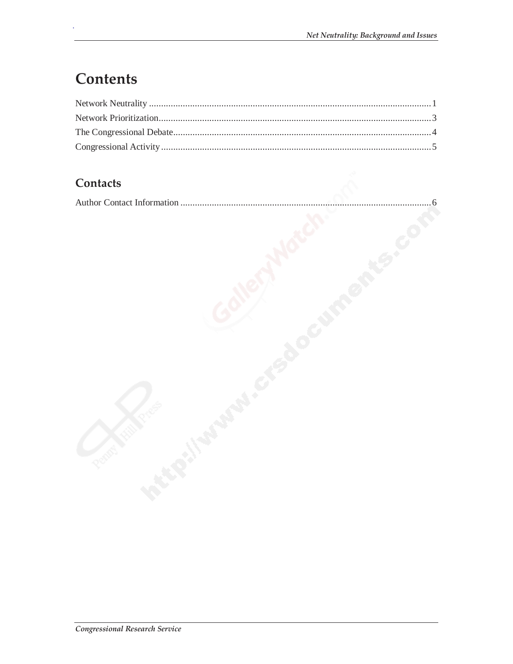## **Contents**

#### Contacts

|--|--|--|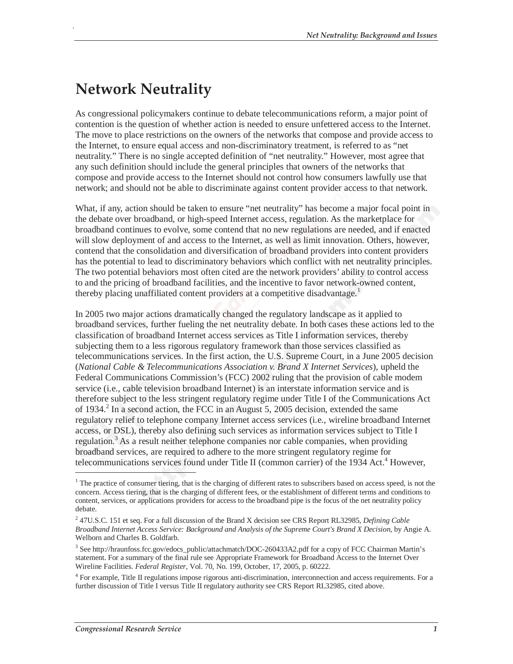### **Network Neutrality**

.

As congressional policymakers continue to debate telecommunications reform, a major point of contention is the question of whether action is needed to ensure unfettered access to the Internet. The move to place restrictions on the owners of the networks that compose and provide access to the Internet, to ensure equal access and non-discriminatory treatment, is referred to as "net neutrality." There is no single accepted definition of "net neutrality." However, most agree that any such definition should include the general principles that owners of the networks that compose and provide access to the Internet should not control how consumers lawfully use that network; and should not be able to discriminate against content provider access to that network.

What, if any, action should be taken to ensure "net neutrality" has become a major focal point in the debate over broadband, or high-speed Internet access, regulation. As the marketplace for broadband continues to evolve, some contend that no new regulations are needed, and if enacted will slow deployment of and access to the Internet, as well as limit innovation. Others, however, contend that the consolidation and diversification of broadband providers into content providers has the potential to lead to discriminatory behaviors which conflict with net neutrality principles. The two potential behaviors most often cited are the network providers' ability to control access to and the pricing of broadband facilities, and the incentive to favor network-owned content, thereby placing unaffiliated content providers at a competitive disadvantage.<sup>1</sup>

In 2005 two major actions dramatically changed the regulatory landscape as it applied to broadband services, further fueling the net neutrality debate. In both cases these actions led to the classification of broadband Internet access services as Title I information services, thereby subjecting them to a less rigorous regulatory framework than those services classified as telecommunications services. In the first action, the U.S. Supreme Court, in a June 2005 decision (*National Cable & Telecommunications Association v. Brand X Internet Services*), upheld the Federal Communications Commission's (FCC) 2002 ruling that the provision of cable modem service (i.e., cable television broadband Internet) is an interstate information service and is therefore subject to the less stringent regulatory regime under Title I of the Communications Act of 1934.<sup>2</sup> In a second action, the FCC in an August 5, 2005 decision, extended the same regulatory relief to telephone company Internet access services (i.e., wireline broadband Internet access, or DSL), thereby also defining such services as information services subject to Title I regulation.<sup>3</sup> As a result neither telephone companies nor cable companies, when providing broadband services, are required to adhere to the more stringent regulatory regime for telecommunications services found under Title II (common carrier) of the 1934 Act.<sup>4</sup> However,

 $1$ <sup>1</sup> The practice of consumer tiering, that is the charging of different rates to subscribers based on access speed, is not the concern. Access tiering, that is the charging of different fees, or the establishment of different terms and conditions to content, services, or applications providers for access to the broadband pipe is the focus of the net neutrality policy debate.

<sup>2</sup> 47U.S.C. 151 et seq. For a full discussion of the Brand X decision see CRS Report RL32985, *Defining Cable Broadband Internet Access Service: Background and Analysis of the Supreme Court's Brand X Decision*, by Angie A. Welborn and Charles B. Goldfarb.

<sup>&</sup>lt;sup>3</sup> See http://hraunfoss.fcc.gov/edocs\_public/attachmatch/DOC-260433A2.pdf for a copy of FCC Chairman Martin's statement. For a summary of the final rule see Appropriate Framework for Broadband Access to the Internet Over Wireline Facilities. *Federal Register*, Vol. 70, No. 199, October, 17, 2005, p. 60222.

<sup>&</sup>lt;sup>4</sup> For example, Title II regulations impose rigorous anti-discrimination, interconnection and access requirements. For a further discussion of Title I versus Title II regulatory authority see CRS Report RL32985, cited above.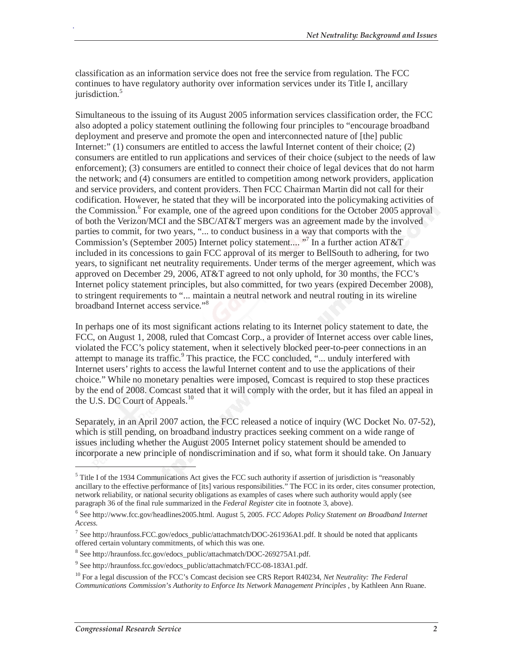classification as an information service does not free the service from regulation. The FCC continues to have regulatory authority over information services under its Title I, ancillary  $i$ urisdiction. $5$ 

Simultaneous to the issuing of its August 2005 information services classification order, the FCC also adopted a policy statement outlining the following four principles to "encourage broadband deployment and preserve and promote the open and interconnected nature of [the] public Internet:" (1) consumers are entitled to access the lawful Internet content of their choice; (2) consumers are entitled to run applications and services of their choice (subject to the needs of law enforcement); (3) consumers are entitled to connect their choice of legal devices that do not harm the network; and (4) consumers are entitled to competition among network providers, application and service providers, and content providers. Then FCC Chairman Martin did not call for their codification. However, he stated that they will be incorporated into the policymaking activities of the Commission.<sup>6</sup> For example, one of the agreed upon conditions for the October 2005 approval of both the Verizon/MCI and the SBC/AT&T mergers was an agreement made by the involved parties to commit, for two years, "... to conduct business in a way that comports with the Commission's (September 2005) Internet policy statement.... "7 In a further action AT&T included in its concessions to gain FCC approval of its merger to BellSouth to adhering, for two years, to significant net neutrality requirements. Under terms of the merger agreement, which was approved on December 29, 2006, AT&T agreed to not only uphold, for 30 months, the FCC's Internet policy statement principles, but also committed, for two years (expired December 2008), to stringent requirements to "... maintain a neutral network and neutral routing in its wireline broadband Internet access service."<sup>8</sup>

In perhaps one of its most significant actions relating to its Internet policy statement to date, the FCC, on August 1, 2008, ruled that Comcast Corp., a provider of Internet access over cable lines, violated the FCC's policy statement, when it selectively blocked peer-to-peer connections in an attempt to manage its traffic.<sup>9</sup> This practice, the FCC concluded, "... unduly interfered with Internet users' rights to access the lawful Internet content and to use the applications of their choice." While no monetary penalties were imposed, Comcast is required to stop these practices by the end of 2008. Comcast stated that it will comply with the order, but it has filed an appeal in the U.S. DC Court of Appeals.<sup>10</sup>

Separately, in an April 2007 action, the FCC released a notice of inquiry (WC Docket No. 07-52), which is still pending, on broadband industry practices seeking comment on a wide range of issues including whether the August 2005 Internet policy statement should be amended to incorporate a new principle of nondiscrimination and if so, what form it should take. On January

<u>.</u>

.

<sup>&</sup>lt;sup>5</sup> Title I of the 1934 Communications Act gives the FCC such authority if assertion of jurisdiction is "reasonably ancillary to the effective performance of [its] various responsibilities." The FCC in its order, cites consumer protection, network reliability, or national security obligations as examples of cases where such authority would apply (see paragraph 36 of the final rule summarized in the *Federal Register* cite in footnote 3, above).

<sup>6</sup> See http://www.fcc.gov/headlines2005.html. August 5, 2005. *FCC Adopts Policy Statement on Broadband Internet Access.*

<sup>&</sup>lt;sup>7</sup> See http://hraunfoss.FCC.gov/edocs\_public/attachmatch/DOC-261936A1.pdf. It should be noted that applicants offered certain voluntary commitments, of which this was one.

<sup>8</sup> See http://hraunfoss.fcc.gov/edocs\_public/attachmatch/DOC-269275A1.pdf.

<sup>9</sup> See http://hraunfoss.fcc.gov/edocs\_public/attachmatch/FCC-08-183A1.pdf.

<sup>10</sup> For a legal discussion of the FCC's Comcast decision see CRS Report R40234, *Net Neutrality: The Federal Communications Commission's Authority to Enforce Its Network Management Principles*, by Kathleen Ann Ruane.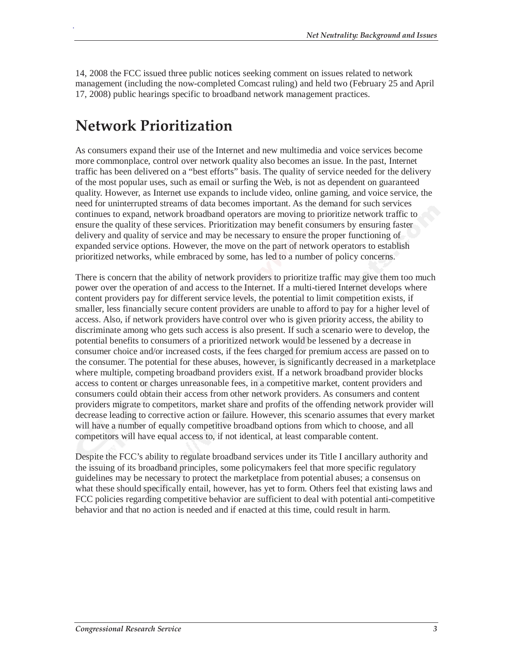14, 2008 the FCC issued three public notices seeking comment on issues related to network management (including the now-completed Comcast ruling) and held two (February 25 and April 17, 2008) public hearings specific to broadband network management practices.

### **Network Prioritization**

.

As consumers expand their use of the Internet and new multimedia and voice services become more commonplace, control over network quality also becomes an issue. In the past, Internet traffic has been delivered on a "best efforts" basis. The quality of service needed for the delivery of the most popular uses, such as email or surfing the Web, is not as dependent on guaranteed quality. However, as Internet use expands to include video, online gaming, and voice service, the need for uninterrupted streams of data becomes important. As the demand for such services continues to expand, network broadband operators are moving to prioritize network traffic to ensure the quality of these services. Prioritization may benefit consumers by ensuring faster delivery and quality of service and may be necessary to ensure the proper functioning of expanded service options. However, the move on the part of network operators to establish prioritized networks, while embraced by some, has led to a number of policy concerns.

There is concern that the ability of network providers to prioritize traffic may give them too much power over the operation of and access to the Internet. If a multi-tiered Internet develops where content providers pay for different service levels, the potential to limit competition exists, if smaller, less financially secure content providers are unable to afford to pay for a higher level of access. Also, if network providers have control over who is given priority access, the ability to discriminate among who gets such access is also present. If such a scenario were to develop, the potential benefits to consumers of a prioritized network would be lessened by a decrease in consumer choice and/or increased costs, if the fees charged for premium access are passed on to the consumer. The potential for these abuses, however, is significantly decreased in a marketplace where multiple, competing broadband providers exist. If a network broadband provider blocks access to content or charges unreasonable fees, in a competitive market, content providers and consumers could obtain their access from other network providers. As consumers and content providers migrate to competitors, market share and profits of the offending network provider will decrease leading to corrective action or failure. However, this scenario assumes that every market will have a number of equally competitive broadband options from which to choose, and all competitors will have equal access to, if not identical, at least comparable content.

Despite the FCC's ability to regulate broadband services under its Title I ancillary authority and the issuing of its broadband principles, some policymakers feel that more specific regulatory guidelines may be necessary to protect the marketplace from potential abuses; a consensus on what these should specifically entail, however, has yet to form. Others feel that existing laws and FCC policies regarding competitive behavior are sufficient to deal with potential anti-competitive behavior and that no action is needed and if enacted at this time, could result in harm.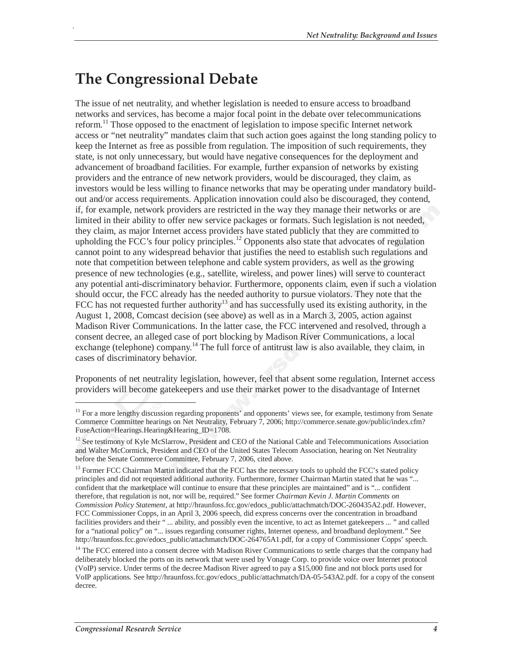## **The Congressional Debate**

The issue of net neutrality, and whether legislation is needed to ensure access to broadband networks and services, has become a major focal point in the debate over telecommunications reform.<sup>11</sup> Those opposed to the enactment of legislation to impose specific Internet network access or "net neutrality" mandates claim that such action goes against the long standing policy to keep the Internet as free as possible from regulation. The imposition of such requirements, they state, is not only unnecessary, but would have negative consequences for the deployment and advancement of broadband facilities. For example, further expansion of networks by existing providers and the entrance of new network providers, would be discouraged, they claim, as investors would be less willing to finance networks that may be operating under mandatory buildout and/or access requirements. Application innovation could also be discouraged, they contend, if, for example, network providers are restricted in the way they manage their networks or are limited in their ability to offer new service packages or formats. Such legislation is not needed, they claim, as major Internet access providers have stated publicly that they are committed to upholding the FCC's four policy principles.<sup>12</sup> Opponents also state that advocates of regulation cannot point to any widespread behavior that justifies the need to establish such regulations and note that competition between telephone and cable system providers, as well as the growing presence of new technologies (e.g., satellite, wireless, and power lines) will serve to counteract any potential anti-discriminatory behavior. Furthermore, opponents claim, even if such a violation should occur, the FCC already has the needed authority to pursue violators. They note that the FCC has not requested further authority<sup>13</sup> and has successfully used its existing authority, in the August 1, 2008, Comcast decision (see above) as well as in a March 3, 2005, action against Madison River Communications. In the latter case, the FCC intervened and resolved, through a consent decree, an alleged case of port blocking by Madison River Communications, a local exchange (telephone) company.<sup>14</sup> The full force of antitrust law is also available, they claim, in cases of discriminatory behavior.

Proponents of net neutrality legislation, however, feel that absent some regulation, Internet access providers will become gatekeepers and use their market power to the disadvantage of Internet

-

.

<sup>&</sup>lt;sup>11</sup> For a more lengthy discussion regarding proponents' and opponents' views see, for example, testimony from Senate Commerce Committee hearings on Net Neutrality, February 7, 2006; http://commerce.senate.gov/public/index.cfm? FuseAction=Hearings.Hearing&Hearing ID=1708.

<sup>&</sup>lt;sup>12</sup> See testimony of Kyle McSlarrow, President and CEO of the National Cable and Telecommunications Association and Walter McCormick, President and CEO of the United States Telecom Association, hearing on Net Neutrality before the Senate Commerce Committee, February 7, 2006, cited above.

<sup>&</sup>lt;sup>13</sup> Former FCC Chairman Martin indicated that the FCC has the necessary tools to uphold the FCC's stated policy principles and did not requested additional authority. Furthermore, former Chairman Martin stated that he was "... confident that the marketplace will continue to ensure that these principles are maintained" and is "... confident therefore, that regulation is not, nor will be, required." See former *Chairman Kevin J. Martin Comments on Commission Policy Statement*, at http://hraunfoss.fcc.gov/edocs\_public/attachmatch/DOC-260435A2.pdf. However, FCC Commissioner Copps, in an April 3, 2006 speech, did express concerns over the concentration in broadband facilities providers and their "... ability, and possibly even the incentive, to act as Internet gatekeepers ... " and called for a "national policy" on "... issues regarding consumer rights, Internet openess, and broadband deployment." See http://hraunfoss.fcc.gov/edocs\_public/attachmatch/DOC-264765A1.pdf, for a copy of Commissioner Copps' speech.

<sup>&</sup>lt;sup>14</sup> The FCC entered into a consent decree with Madison River Communications to settle charges that the company had deliberately blocked the ports on its network that were used by Vonage Corp. to provide voice over Internet protocol (VoIP) service. Under terms of the decree Madison River agreed to pay a \$15,000 fine and not block ports used for VoIP applications. See http://hraunfoss.fcc.gov/edocs\_public/attachmatch/DA-05-543A2.pdf. for a copy of the consent decree.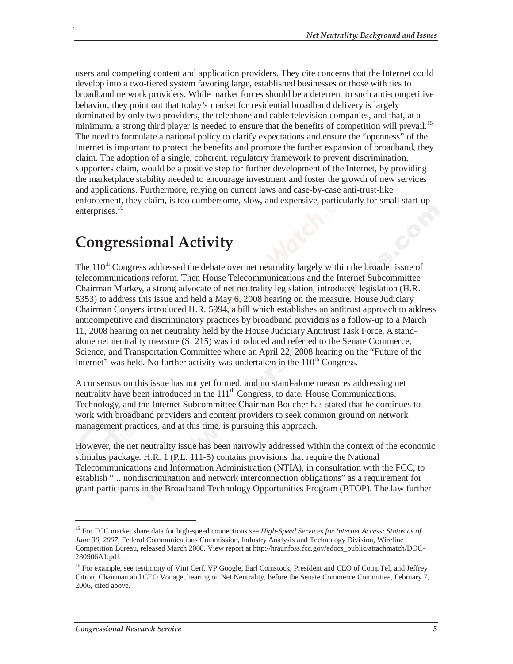users and competing content and application providers. They cite concerns that the Internet could develop into a two-tiered system favoring large, established businesses or those with ties to broadband network providers. While market forces should be a deterrent to such anti-competitive behavior, they point out that today's market for residential broadband delivery is largely dominated by only two providers, the telephone and cable television companies, and that, at a minimum, a strong third player is needed to ensure that the benefits of competition will prevail.<sup>15</sup> The need to formulate a national policy to clarify expectations and ensure the "openness" of the Internet is important to protect the benefits and promote the further expansion of broadband, they claim. The adoption of a single, coherent, regulatory framework to prevent discrimination, supporters claim, would be a positive step for further development of the Internet, by providing the marketplace stability needed to encourage investment and foster the growth of new services and applications. Furthermore, relying on current laws and case-by-case anti-trust-like enforcement, they claim, is too cumbersome, slow, and expensive, particularly for small start-up enterprises.<sup>16</sup>

### **Congressional Activity**

The  $110<sup>th</sup>$  Congress addressed the debate over net neutrality largely within the broader issue of telecommunications reform. Then House Telecommunications and the Internet Subcommittee Chairman Markey, a strong advocate of net neutrality legislation, introduced legislation (H.R. 5353) to address this issue and held a May 6, 2008 hearing on the measure. House Judiciary Chairman Conyers introduced H.R. 5994, a bill which establishes an antitrust approach to address anticompetitive and discriminatory practices by broadband providers as a follow-up to a March 11, 2008 hearing on net neutrality held by the House Judiciary Antitrust Task Force. A standalone net neutrality measure (S. 215) was introduced and referred to the Senate Commerce, Science, and Transportation Committee where an April 22, 2008 hearing on the "Future of the Internet" was held. No further activity was undertaken in the  $110<sup>th</sup>$  Congress.

A consensus on this issue has not yet formed, and no stand-alone measures addressing net neutrality have been introduced in the  $111<sup>th</sup>$  Congress, to date. House Communications, Technology, and the Internet Subcommittee Chairman Boucher has stated that he continues to work with broadband providers and content providers to seek common ground on network management practices, and at this time, is pursuing this approach.

However, the net neutrality issue has been narrowly addressed within the context of the economic stimulus package. H.R. 1 (P.L. 111-5) contains provisions that require the National Telecommunications and Information Administration (NTIA), in consultation with the FCC, to establish "... nondiscrimination and network interconnection obligations" as a requirement for grant participants in the Broadband Technology Opportunities Program (BTOP). The law further

-

.

<sup>15</sup> For FCC market share data for high-speed connections see *High-Speed Services for Internet Access: Status as of June 30, 2007,* Federal Communications Commission, Industry Analysis and Technology Division, Wireline Competition Bureau, released March 2008. View report at http://hraunfoss.fcc.gov/edocs\_public/attachmatch/DOC-280906A1.pdf.

<sup>&</sup>lt;sup>16</sup> For example, see testimony of Vint Cerf, VP Google, Earl Comstock, President and CEO of CompTel, and Jeffrey Citron, Chairman and CEO Vonage, hearing on Net Neutrality, before the Senate Commerce Committee, February 7, 2006, cited above.